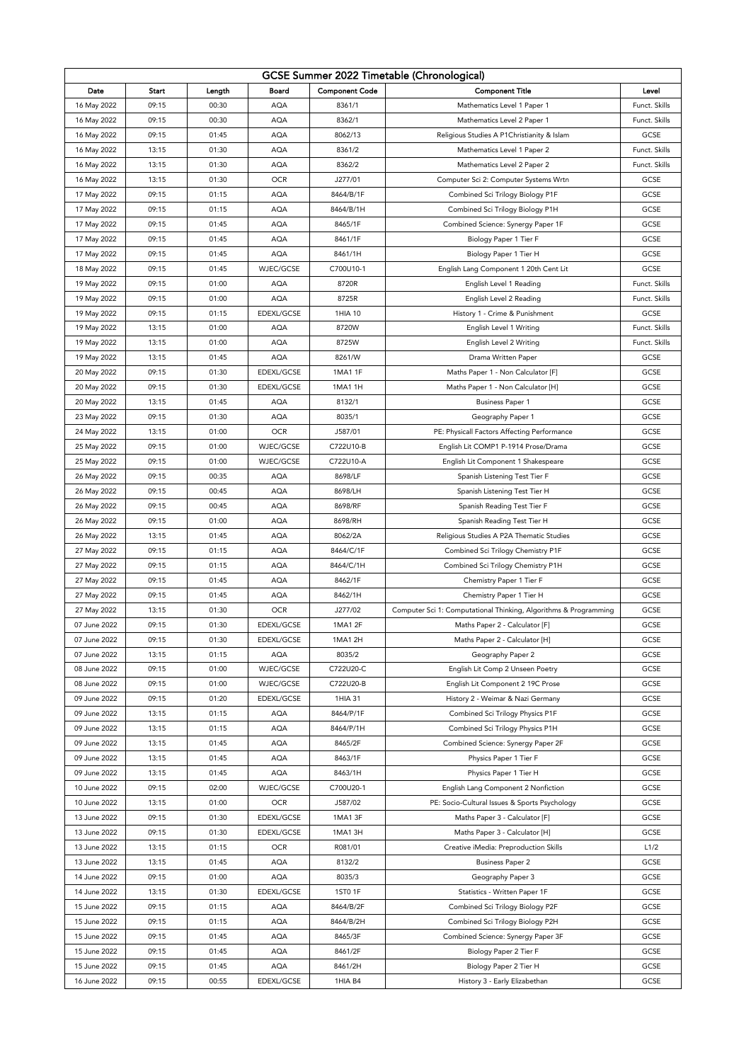| GCSE Summer 2022 Timetable (Chronological) |       |        |            |                       |                                                                  |               |  |  |  |  |
|--------------------------------------------|-------|--------|------------|-----------------------|------------------------------------------------------------------|---------------|--|--|--|--|
| Date                                       | Start | Length | Board      | <b>Component Code</b> | <b>Component Title</b>                                           | Level         |  |  |  |  |
| 16 May 2022                                | 09:15 | 00:30  | <b>AQA</b> | 8361/1                | Mathematics Level 1 Paper 1                                      | Funct. Skills |  |  |  |  |
| 16 May 2022                                | 09:15 | 00:30  | <b>AQA</b> | 8362/1                | Mathematics Level 2 Paper 1                                      | Funct. Skills |  |  |  |  |
| 16 May 2022                                | 09:15 | 01:45  | <b>AQA</b> | 8062/13               | Religious Studies A P1 Christianity & Islam                      | GCSE          |  |  |  |  |
| 16 May 2022                                | 13:15 | 01:30  | AQA        | 8361/2                | Mathematics Level 1 Paper 2                                      | Funct. Skills |  |  |  |  |
| 16 May 2022                                | 13:15 | 01:30  | <b>AQA</b> | 8362/2                | Mathematics Level 2 Paper 2                                      | Funct. Skills |  |  |  |  |
| 16 May 2022                                | 13:15 | 01:30  | <b>OCR</b> | J277/01               | Computer Sci 2: Computer Systems Wrtn                            | GCSE          |  |  |  |  |
| 17 May 2022                                | 09:15 | 01:15  | <b>AQA</b> | 8464/B/1F             | Combined Sci Trilogy Biology P1F                                 | GCSE          |  |  |  |  |
| 17 May 2022                                | 09:15 | 01:15  | <b>AQA</b> | 8464/B/1H             | Combined Sci Trilogy Biology P1H                                 | GCSE          |  |  |  |  |
| 17 May 2022                                | 09:15 | 01:45  | <b>AQA</b> | 8465/1F               | Combined Science: Synergy Paper 1F                               | GCSE          |  |  |  |  |
| 17 May 2022                                | 09:15 | 01:45  | AQA        | 8461/1F               | Biology Paper 1 Tier F                                           | GCSE          |  |  |  |  |
|                                            | 09:15 |        | <b>AQA</b> | 8461/1H               |                                                                  | GCSE          |  |  |  |  |
| 17 May 2022                                |       | 01:45  |            |                       | Biology Paper 1 Tier H                                           |               |  |  |  |  |
| 18 May 2022                                | 09:15 | 01:45  | WJEC/GCSE  | C700U10-1             | English Lang Component 1 20th Cent Lit                           | GCSE          |  |  |  |  |
| 19 May 2022                                | 09:15 | 01:00  | <b>AQA</b> | 8720R                 | English Level 1 Reading                                          | Funct. Skills |  |  |  |  |
| 19 May 2022                                | 09:15 | 01:00  | <b>AQA</b> | 8725R                 | English Level 2 Reading                                          | Funct. Skills |  |  |  |  |
| 19 May 2022                                | 09:15 | 01:15  | EDEXL/GCSE | 1HIA 10               | History 1 - Crime & Punishment                                   | GCSE          |  |  |  |  |
| 19 May 2022                                | 13:15 | 01:00  | <b>AQA</b> | 8720W                 | English Level 1 Writing                                          | Funct. Skills |  |  |  |  |
| 19 May 2022                                | 13:15 | 01:00  | AQA        | 8725W                 | English Level 2 Writing                                          | Funct. Skills |  |  |  |  |
| 19 May 2022                                | 13:15 | 01:45  | <b>AQA</b> | 8261/W                | Drama Written Paper                                              | GCSE          |  |  |  |  |
| 20 May 2022                                | 09:15 | 01:30  | EDEXL/GCSE | 1MA1 1F               | Maths Paper 1 - Non Calculator [F]                               | GCSE          |  |  |  |  |
| 20 May 2022                                | 09:15 | 01:30  | EDEXL/GCSE | 1MA1 1H               | Maths Paper 1 - Non Calculator [H]                               | GCSE          |  |  |  |  |
| 20 May 2022                                | 13:15 | 01:45  | <b>AQA</b> | 8132/1                | <b>Business Paper 1</b>                                          | GCSE          |  |  |  |  |
| 23 May 2022                                | 09:15 | 01:30  | <b>AQA</b> | 8035/1                | Geography Paper 1                                                | GCSE          |  |  |  |  |
| 24 May 2022                                | 13:15 | 01:00  | <b>OCR</b> | J587/01               | PE: Physicall Factors Affecting Performance                      | GCSE          |  |  |  |  |
| 25 May 2022                                | 09:15 | 01:00  | WJEC/GCSE  | C722U10-B             | English Lit COMP1 P-1914 Prose/Drama                             | GCSE          |  |  |  |  |
| 25 May 2022                                | 09:15 | 01:00  | WJEC/GCSE  | C722U10-A             | English Lit Component 1 Shakespeare                              | GCSE          |  |  |  |  |
| 26 May 2022                                | 09:15 | 00:35  | AQA        | 8698/LF               | Spanish Listening Test Tier F                                    | GCSE          |  |  |  |  |
| 26 May 2022                                | 09:15 | 00:45  | <b>AQA</b> | 8698/LH               | Spanish Listening Test Tier H                                    | GCSE          |  |  |  |  |
| 26 May 2022                                | 09:15 | 00:45  | <b>AQA</b> | 8698/RF               | Spanish Reading Test Tier F                                      | GCSE          |  |  |  |  |
| 26 May 2022                                | 09:15 | 01:00  | <b>AQA</b> | 8698/RH               | Spanish Reading Test Tier H                                      | GCSE          |  |  |  |  |
| 26 May 2022                                | 13:15 | 01:45  | AQA        | 8062/2A               | Religious Studies A P2A Thematic Studies                         | GCSE          |  |  |  |  |
| 27 May 2022                                | 09:15 | 01:15  | <b>AQA</b> | 8464/C/1F             | Combined Sci Trilogy Chemistry P1F                               | GCSE          |  |  |  |  |
| 27 May 2022                                | 09:15 | 01:15  | <b>AQA</b> | 8464/C/1H             | Combined Sci Trilogy Chemistry P1H                               | GCSE          |  |  |  |  |
| 27 May 2022                                | 09:15 | 01:45  | <b>AQA</b> | 8462/1F               | Chemistry Paper 1 Tier F                                         | GCSE          |  |  |  |  |
| 27 May 2022                                | 09:15 | 01:45  | <b>AQA</b> | 8462/1H               | Chemistry Paper 1 Tier H                                         | GCSE          |  |  |  |  |
| 27 May 2022                                | 13:15 | 01:30  | <b>OCR</b> | J277/02               | Computer Sci 1: Computational Thinking, Algorithms & Programming | GCSE          |  |  |  |  |
| 07 June 2022                               | 09:15 | 01:30  | EDEXL/GCSE | 1MA1 2F               | Maths Paper 2 - Calculator [F]                                   | GCSE          |  |  |  |  |
| 07 June 2022                               | 09:15 | 01:30  | EDEXL/GCSE | 1MA1 2H               | Maths Paper 2 - Calculator [H]                                   | GCSE          |  |  |  |  |
| 07 June 2022                               | 13:15 | 01:15  | <b>AQA</b> | 8035/2                | Geography Paper 2                                                | GCSE          |  |  |  |  |
| 08 June 2022                               | 09:15 | 01:00  | WJEC/GCSE  | C722U20-C             | English Lit Comp 2 Unseen Poetry                                 | GCSE          |  |  |  |  |
| 08 June 2022                               | 09:15 | 01:00  | WJEC/GCSE  | C722U20-B             | English Lit Component 2 19C Prose                                | GCSE          |  |  |  |  |
| 09 June 2022                               | 09:15 | 01:20  | EDEXL/GCSE | 1HIA 31               | History 2 - Weimar & Nazi Germany                                | GCSE          |  |  |  |  |
| 09 June 2022                               | 13:15 | 01:15  | <b>AQA</b> | 8464/P/1F             | Combined Sci Trilogy Physics P1F                                 | GCSE          |  |  |  |  |
| 09 June 2022                               | 13:15 | 01:15  | AQA        | 8464/P/1H             | Combined Sci Trilogy Physics P1H                                 | GCSE          |  |  |  |  |
| 09 June 2022                               | 13:15 | 01:45  | <b>AQA</b> | 8465/2F               | Combined Science: Synergy Paper 2F                               | GCSE          |  |  |  |  |
| 09 June 2022                               | 13:15 | 01:45  | <b>AQA</b> | 8463/1F               | Physics Paper 1 Tier F                                           | GCSE          |  |  |  |  |
| 09 June 2022                               | 13:15 | 01:45  | <b>AQA</b> | 8463/1H               | Physics Paper 1 Tier H                                           | GCSE          |  |  |  |  |
| 10 June 2022                               | 09:15 | 02:00  | WJEC/GCSE  | C700U20-1             | English Lang Component 2 Nonfiction                              | GCSE          |  |  |  |  |
| 10 June 2022                               | 13:15 | 01:00  | <b>OCR</b> | J587/02               | PE: Socio-Cultural Issues & Sports Psychology                    | GCSE          |  |  |  |  |
|                                            |       |        |            |                       |                                                                  |               |  |  |  |  |
| 13 June 2022                               | 09:15 | 01:30  | EDEXL/GCSE | 1MA1 3F               | Maths Paper 3 - Calculator [F]                                   | GCSE          |  |  |  |  |
| 13 June 2022                               | 09:15 | 01:30  | EDEXL/GCSE | 1MA1 3H               | Maths Paper 3 - Calculator [H]                                   | GCSE          |  |  |  |  |
| 13 June 2022                               | 13:15 | 01:15  | <b>OCR</b> | R081/01               | Creative iMedia: Preproduction Skills                            | L1/2          |  |  |  |  |
| 13 June 2022                               | 13:15 | 01:45  | <b>AQA</b> | 8132/2                | <b>Business Paper 2</b>                                          | GCSE          |  |  |  |  |
| 14 June 2022                               | 09:15 | 01:00  | AQA        | 8035/3                | Geography Paper 3                                                | GCSE          |  |  |  |  |
| 14 June 2022                               | 13:15 | 01:30  | EDEXL/GCSE | 1ST0 1F               | Statistics - Written Paper 1F                                    | GCSE          |  |  |  |  |
| 15 June 2022                               | 09:15 | 01:15  | <b>AQA</b> | 8464/B/2F             | Combined Sci Trilogy Biology P2F                                 | GCSE          |  |  |  |  |
| 15 June 2022                               | 09:15 | 01:15  | <b>AQA</b> | 8464/B/2H             | Combined Sci Trilogy Biology P2H                                 | GCSE          |  |  |  |  |
| 15 June 2022                               | 09:15 | 01:45  | AQA        | 8465/3F               | Combined Science: Synergy Paper 3F                               | GCSE          |  |  |  |  |
| 15 June 2022                               | 09:15 | 01:45  | AQA        | 8461/2F               | Biology Paper 2 Tier F                                           | GCSE          |  |  |  |  |
| 15 June 2022                               | 09:15 | 01:45  | <b>AQA</b> | 8461/2H               | Biology Paper 2 Tier H                                           | GCSE          |  |  |  |  |
| 16 June 2022                               | 09:15 | 00:55  | EDEXL/GCSE | 1HIA B4               | History 3 - Early Elizabethan                                    | GCSE          |  |  |  |  |